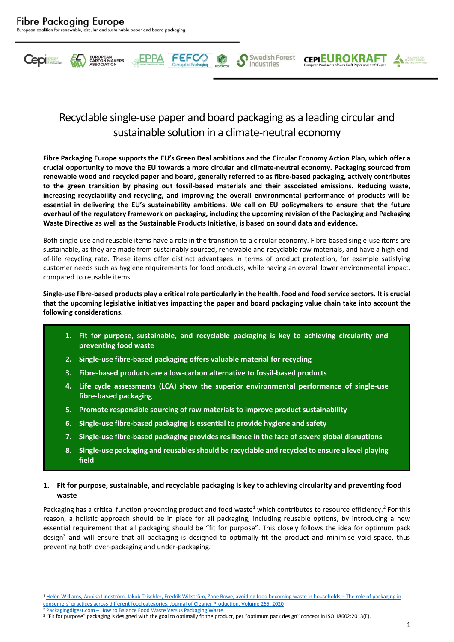

# Recyclable single-use paper and board packaging as a leading circular and sustainable solution in a climate-neutral economy

**FEFCC** 

Swedish Forest

Industries

**CEPIEUROKRAFT** 

**Fibre Packaging Europe supports the EU's Green Deal ambitions and the Circular Economy Action Plan, which offer a crucial opportunity to move the EU towards a more circular and climate-neutral economy. Packaging sourced from renewable wood and recycled paper and board, generally referred to as fibre-based packaging, actively contributes to the green transition by phasing out fossil-based materials and their associated emissions. Reducing waste, increasing recyclability and recycling, and improving the overall environmental performance of products will be essential in delivering the EU's sustainability ambitions. We call on EU policymakers to ensure that the future overhaul of the regulatory framework on packaging, including the upcoming revision of the Packaging and Packaging Waste Directive as well as the Sustainable Products Initiative, is based on sound data and evidence.**

Both single-use and reusable items have a role in the transition to a circular economy. Fibre-based single-use items are sustainable, as they are made from sustainably sourced, renewable and recyclable raw materials, and have a high endof-life recycling rate. These items offer distinct advantages in terms of product protection, for example satisfying customer needs such as hygiene requirements for food products, while having an overall lower environmental impact, compared to reusable items.

**Single-use fibre-based products play a critical role particularly in the health, food and food service sectors. It is crucial that the upcoming legislative initiatives impacting the paper and board packaging value chain take into account the following considerations.**

- **1. Fit for purpose, sustainable, and recyclable packaging is key to achieving circularity and preventing food waste**
- **2. Single-use fibre-based packaging offers valuable material for recycling**
- **3. Fibre-based products are a low-carbon alternative to fossil-based products**
- **4. Life cycle assessments (LCA) show the superior environmental performance of single-use fibre-based packaging**
- **5. Promote responsible sourcing of raw materials to improve product sustainability**
- **6. Single-use fibre-based packaging is essential to provide hygiene and safety**
- **7. Single-use fibre-based packaging provides resilience in the face of severe global disruptions**
- **8. Single-use packaging and reusables should be recyclable and recycled to ensure a level playing field**

# **1. Fit for purpose, sustainable, and recyclable packaging is key to achieving circularity and preventing food waste**

Packaging has a critical function preventing product and food waste<sup>1</sup> which contributes to resource efficiency.<sup>2</sup> For this reason, a holistic approach should be in place for all packaging, including reusable options, by introducing a new essential requirement that all packaging should be "fit for purpose". This closely follows the idea for optimum pack design<sup>3</sup> and will ensure that all packaging is designed to optimally fit the product and minimise void space, thus preventing both over-packaging and under-packaging.

<sup>1</sup> [Helén Williams, Annika Lindström, Jakob Trischler, Fredrik Wikström, Zane Rowe, avoiding food becoming waste in households](https://doi.org/10.1016/j.jclepro.2020.121775) - The role of packaging in consumers' practices across different food cat[egories, Journal of Cleaner Production, Volume 265, 2020](https://doi.org/10.1016/j.jclepro.2020.121775) <sup>2</sup> Packagingdigest.com – [How to Balance Food Waste Versus Packaging Waste](https://www.packagingdigest.com/food-packaging/how-balance-food-waste-versus-packaging-waste)

<sup>&</sup>lt;sup>3</sup> "Fit for purpose" packaging is designed with the goal to optimally fit the product, per "optimum pack design" concept in ISO 18602:2013(E).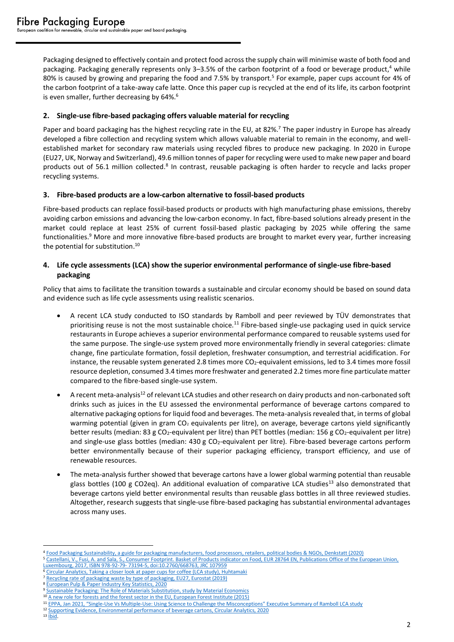Packaging designed to effectively contain and protect food across the supply chain will minimise waste of both food and packaging. Packaging generally represents only 3-3.5% of the carbon footprint of a food or beverage product,<sup>4</sup> while 80% is caused by growing and preparing the food and 7.5% by transport.<sup>5</sup> For example, paper cups account for 4% of the carbon footprint of a take-away cafe latte. Once this paper cup is recycled at the end of its life, its carbon footprint is even smaller, further decreasing by 64%.<sup>6</sup>

# **2. Single-use fibre-based packaging offers valuable material for recycling**

Paper and board packaging has the highest recycling rate in the EU, at 82%.<sup>7</sup> The paper industry in Europe has already developed a fibre collection and recycling system which allows valuable material to remain in the economy, and wellestablished market for secondary raw materials using recycled fibres to produce new packaging. In 2020 in Europe (EU27, UK, Norway and Switzerland), 49.6 million tonnes of paper for recycling were used to make new paper and board products out of 56.1 million collected.<sup>8</sup> In contrast, reusable packaging is often harder to recycle and lacks proper recycling systems.

# **3. Fibre-based products are a low-carbon alternative to fossil-based products**

Fibre-based products can replace fossil-based products or products with high manufacturing phase emissions, thereby avoiding carbon emissions and advancing the low-carbon economy. In fact, fibre-based solutions already present in the market could replace at least 25% of current fossil-based plastic packaging by 2025 while offering the same functionalities.<sup>9</sup> More and more innovative fibre-based products are brought to market every year, further increasing the potential for substitution. 10

# **4. Life cycle assessments (LCA) show the superior environmental performance of single-use fibre-based packaging**

Policy that aims to facilitate the transition towards a sustainable and circular economy should be based on sound data and evidence such as life cycle assessments using realistic scenarios.

- A recent LCA study conducted to ISO standards by Ramboll and peer reviewed by TÜV demonstrates that prioritising reuse is not the most sustainable choice.<sup>11</sup> Fibre-based single-use packaging used in quick service restaurants in Europe achieves a superior environmental performance compared to reusable systems used for the same purpose. The single-use system proved more environmentally friendly in several categories: climate change, fine particulate formation, fossil depletion, freshwater consumption, and terrestrial acidification. For instance, the reusable system generated 2.8 times more CO<sub>2</sub>-equivalent emissions, led to 3.4 times more fossil resource depletion, consumed 3.4 times more freshwater and generated 2.2 times more fine particulate matter compared to the fibre-based single-use system.
- A recent meta-analysis<sup>12</sup> of relevant LCA studies and other research on dairy products and non-carbonated soft drinks such as juices in the EU assessed the environmental performance of beverage cartons compared to alternative packaging options for liquid food and beverages. The meta-analysis revealed that, in terms of global warming potential (given in gram  $CO<sub>2</sub>$  equivalents per litre), on average, beverage cartons yield significantly better results (median: 83 g CO<sub>2</sub>-equivalent per litre) than PET bottles (median: 156 g CO<sub>2</sub>-equivalent per litre) and single-use glass bottles (median: 430 g CO<sub>2</sub>-equivalent per litre). Fibre-based beverage cartons perform better environmentally because of their superior packaging efficiency, transport efficiency, and use of renewable resources.
- The meta-analysis further showed that beverage cartons have a lower global warming potential than reusable glass bottles (100 g CO2eq). An additional evaluation of comparative LCA studies<sup>13</sup> also demonstrated that beverage cartons yield better environmental results than reusable glass bottles in all three reviewed studies. Altogether, research suggests that single-use fibre-based packaging has substantial environmental advantages across many uses.

<sup>4</sup> [Food Packaging Sustainability, a guide for packaging manufacturers, food processors, retailers, political bodies](https://denkstatt.eu/wp-content/uploads/2020/08/guideline_stopwastesavefood_en_220520.pdf) & NGOs, Denkstatt (2020)

<sup>5</sup> Castellani, V., Fusi, A. and Sala, S., Consumer [Footprint. Basket of Products indicator on Food, EUR 28764 EN, Publications Office of the European Union,](https://eplca.jrc.ec.europa.eu/uploads/ConsumerFootprint_BoP_Food.pdf) 

Luxembourg, 2017, ISBN 978-92-79- [73194-5, doi:10.2760/668763, JRC 107959](https://eplca.jrc.ec.europa.eu/uploads/ConsumerFootprint_BoP_Food.pdf)

<sup>&</sup>lt;sup>6</sup> [Circular Analytics, Taking a closer look at paper cups for coffee \(LCA study\), Huhtamaki](https://www.huhtamaki.com/globalassets/global/highlights/responsibility/taking-a-closer-look-at-paper-cups-for-coffee.pdf)

<sup>&</sup>lt;sup>7</sup> [Recycling rate of packaging waste by type of packaging, EU27, Eurostat \(2019\)](https://ec.europa.eu/eurostat/databrowser/view/ENV_WASPACR__custom_1717115/bookmark/table?lang=en&bookmarkId=d73804e4-e7d8-464d-9d5d-c9f1019d3fcf)

<sup>8</sup> [European Pulp & Paper Industry Key Statistics, 2020](https://www.cepi.org/wp-content/uploads/2021/07/Key-Stats-2020-FINAL.pdf)

<sup>9</sup> [Sustainable Packaging: The Role of Materials Substitution,](https://materialeconomics.com/publications/sustainable-packaging) study by Material Economics

<sup>&</sup>lt;sup>10</sup> A new role for forests and the forest sector in the EU, European Forest Institute (2015)

<sup>11</sup> EPPA, Jan 2021, "Single-Use Vs Multiple-Use: Using Science to Challenge [the Misconceptions" Executive Summary of Ramboll LCA study](https://www.eppa-eu.org/uploads/Bestanden/RAMBOLL_RAPPORT_FINALE_VERSION.pdf)

<sup>12</sup> [Supporting Evidence, Environmental performance of beverage cartons, Circular Analytics, 2020](https://www.beveragecarton.eu/wp-content/uploads/2021/03/20-011-Circular-Analytics_ACE-Full-report_2021-03-11.pdf)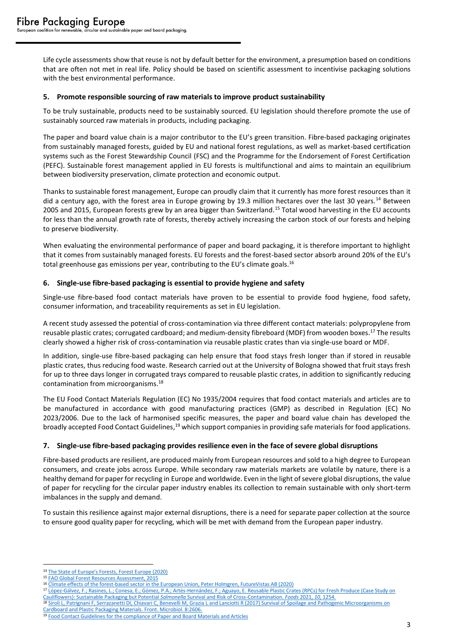Life cycle assessments show that reuse is not by default better for the environment, a presumption based on conditions that are often not met in real life. Policy should be based on scientific assessment to incentivise packaging solutions with the best environmental performance.

#### **5. Promote responsible sourcing of raw materials to improve product sustainability**

To be truly sustainable, products need to be sustainably sourced. EU legislation should therefore promote the use of sustainably sourced raw materials in products, including packaging.

The paper and board value chain is a major contributor to the EU's green transition. Fibre-based packaging originates from sustainably managed forests, guided by EU and national forest regulations, as well as market-based certification systems such as the Forest Stewardship Council (FSC) and the Programme for the Endorsement of Forest Certification (PEFC). Sustainable forest management applied in EU forests is multifunctional and aims to maintain an equilibrium between biodiversity preservation, climate protection and economic output.

Thanks to sustainable forest management, Europe can proudly claim that it currently has more forest resources than it did a century ago, with the forest area in Europe growing by 19.3 million hectares over the last 30 years.<sup>14</sup> Between 2005 and 2015, European forests grew by an area bigger than Switzerland.<sup>15</sup> Total wood harvesting in the EU accounts for less than the annual growth rate of forests, thereby actively increasing the carbon stock of our forests and helping to preserve biodiversity.

When evaluating the environmental performance of paper and board packaging, it is therefore important to highlight that it comes from sustainably managed forests. EU forests and the forest-based sector absorb around 20% of the EU's total greenhouse gas emissions per year, contributing to the EU's climate goals.<sup>16</sup>

# **6. Single-use fibre-based packaging is essential to provide hygiene and safety**

Single-use fibre-based food contact materials have proven to be essential to provide food hygiene, food safety, consumer information, and traceability requirements as set in EU legislation.

A recent study assessed the potential of cross-contamination via three different contact materials: polypropylene from reusable plastic crates; corrugated cardboard; and medium-density fibreboard (MDF) from wooden boxes.<sup>17</sup> The results clearly showed a higher risk of cross-contamination via reusable plastic crates than via single-use board or MDF.

In addition, single-use fibre-based packaging can help ensure that food stays fresh longer than if stored in reusable plastic crates, thus reducing food waste. Research carried out at the University of Bologna showed that fruit stays fresh for up to three days longer in corrugated trays compared to reusable plastic crates, in addition to significantly reducing contamination from microorganisms. 18

The EU Food Contact Materials Regulation (EC) No 1935/2004 requires that food contact materials and articles are to be manufactured in accordance with good manufacturing practices (GMP) as described in Regulation (EC) No 2023/2006. Due to the lack of harmonised specific measures, the paper and board value chain has developed the broadly accepted Food Contact Guidelines,<sup>19</sup> which support companies in providing safe materials for food applications.

# **7. Single-use fibre-based packaging provides resilience even in the face of severe global disruptions**

Fibre-based products are resilient, are produced mainly from European resources and sold to a high degree to European consumers, and create jobs across Europe. While secondary raw materials markets are volatile by nature, there is a healthy demand for paper for recycling in Europe and worldwide. Even in the light of severe global disruptions, the value of paper for recycling for the circular paper industry enables its collection to remain sustainable with only short-term imbalances in the supply and demand.

To sustain this resilience against major external disruptions, there is a need for separate paper collection at the source to ensure good quality paper for recycling, which will be met with demand from the European paper industry.

<sup>17</sup> [López-Gálvez, F.; Rasines, L.; Conesa, E.; Gómez, P.A.; Artés-Hernández, F.; Aguayo, E. Reusable Plastic Crates \(RPCs\) for Fresh Produce \(Case Study on](https://doi.org/10.3390/foods10061254)  [Cauliflowers\): Sustainable Packaging but Potential](https://doi.org/10.3390/foods10061254) *Salmonella* Survival and Risk of Cross-Contamination. *Foods* 2021, *10*, 1254. Siroli L, Patrignani F, Serrazanetti DI, Chiavari C, Benevelli M, Grazia L and Lanciotti R (2017) Survival of Spoilage and Pathogenic Microorganisms on [Cardboard and Plastic Packaging Materials. Front. Microbiol. 8:2606.](https://www.frontiersin.org/articles/10.3389/fmicb.2017.02606/full?&utm_source=Email_to_authors_&utm_medium=Email&utm_content=T1_11.5e1_author&utm_campaign=Email_publication&field=&journalName=Frontiers_in_Microbiology&id=313909)

<sup>14</sup> [The State of Europe's Forests, Forest Europe \(2020\)](https://foresteurope.org/wp-content/uploads/2016/08/SoEF_2020.pdf)

<sup>15</sup> [FAO Global Forest Resources Assessment, 2015](https://www.fao.org/3/i4808e/i4808e.pdf)

<sup>16</sup> [Climate effects of the forest-based sector in the European Union, Peter Holmgren, FutureVistas AB \(2020\)](https://www.cepi.org/wp-content/uploads/2020/07/Cepi_-study.pdf)

<sup>19</sup> [Food Contact Guidelines for the compliance of Paper and Board Materials and Articles](https://www.cepi.org/?s=Food+Contact+Guidelines+for+the+Compliance+of+Paper+and+Board+Materials+and+Articles+now+out&et_pb_searchform_submit=et_search_proccess&et_pb_include_posts=yes&et_pb_include_pages=yes)